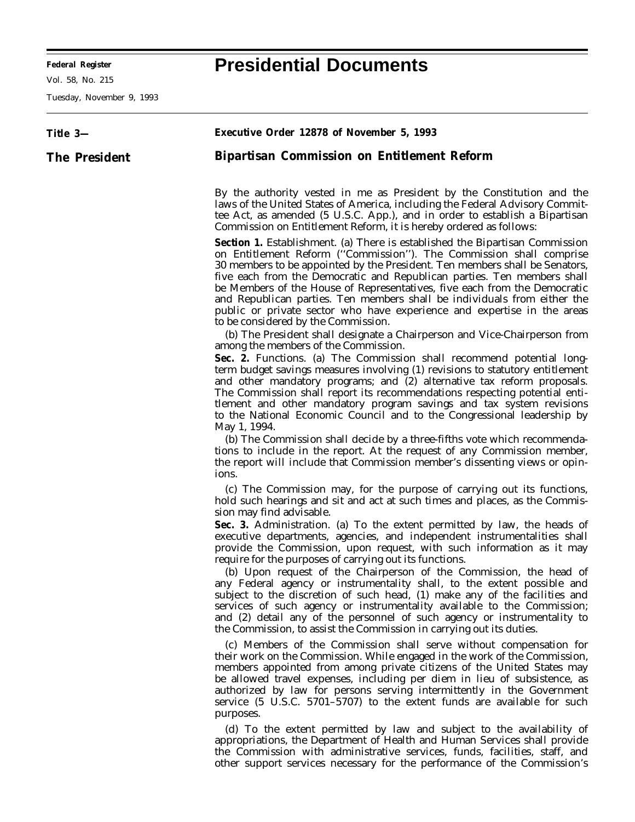**Federal Register Presidential Documents**

Ξ

Vol. 58, No. 215

Tuesday, November 9, 1993

| Title 3-             | <b>Executive Order 12878 of November 5, 1993</b>                                                                                                                                                                                                                                                                                                                                                                                                                                                                                                                                                                                                                                                                                                                                                                                                                                                                                              |
|----------------------|-----------------------------------------------------------------------------------------------------------------------------------------------------------------------------------------------------------------------------------------------------------------------------------------------------------------------------------------------------------------------------------------------------------------------------------------------------------------------------------------------------------------------------------------------------------------------------------------------------------------------------------------------------------------------------------------------------------------------------------------------------------------------------------------------------------------------------------------------------------------------------------------------------------------------------------------------|
| <b>The President</b> | <b>Bipartisan Commission on Entitlement Reform</b>                                                                                                                                                                                                                                                                                                                                                                                                                                                                                                                                                                                                                                                                                                                                                                                                                                                                                            |
|                      | By the authority vested in me as President by the Constitution and the<br>laws of the United States of America, including the Federal Advisory Commit-<br>tee Act, as amended (5 U.S.C. App.), and in order to establish a Bipartisan<br>Commission on Entitlement Reform, it is hereby ordered as follows:                                                                                                                                                                                                                                                                                                                                                                                                                                                                                                                                                                                                                                   |
|                      | Section 1. Establishment. (a) There is established the Bipartisan Commission<br>on Entitlement Reform ("Commission"). The Commission shall comprise<br>30 members to be appointed by the President. Ten members shall be Senators,<br>five each from the Democratic and Republican parties. Ten members shall<br>be Members of the House of Representatives, five each from the Democratic<br>and Republican parties. Ten members shall be individuals from either the<br>public or private sector who have experience and expertise in the areas<br>to be considered by the Commission.                                                                                                                                                                                                                                                                                                                                                      |
|                      | (b) The President shall designate a Chairperson and Vice-Chairperson from<br>among the members of the Commission.<br>Sec. 2. Functions. (a) The Commission shall recommend potential long-<br>term budget savings measures involving (1) revisions to statutory entitlement<br>and other mandatory programs; and (2) alternative tax reform proposals.<br>The Commission shall report its recommendations respecting potential enti-<br>tlement and other mandatory program savings and tax system revisions<br>to the National Economic Council and to the Congressional leadership by<br>May 1, 1994.<br>(b) The Commission shall decide by a three-fifths vote which recommenda-<br>tions to include in the report. At the request of any Commission member,                                                                                                                                                                               |
|                      | the report will include that Commission member's dissenting views or opin-<br>ions.<br>(c) The Commission may, for the purpose of carrying out its functions,<br>hold such hearings and sit and act at such times and places, as the Commis-<br>sion may find advisable.<br>Sec. 3. Administration. (a) To the extent permitted by law, the heads of<br>executive departments, agencies, and independent instrumentalities shall<br>provide the Commission, upon request, with such information as it may<br>require for the purposes of carrying out its functions.<br>(b) Upon request of the Chairperson of the Commission, the head of<br>any Federal agency or instrumentality shall, to the extent possible and<br>subject to the discretion of such head, (1) make any of the facilities and<br>services of such agency or instrumentality available to the Commission;                                                                |
|                      | and (2) detail any of the personnel of such agency or instrumentality to<br>the Commission, to assist the Commission in carrying out its duties.<br>(c) Members of the Commission shall serve without compensation for<br>their work on the Commission. While engaged in the work of the Commission,<br>members appointed from among private citizens of the United States may<br>be allowed travel expenses, including per diem in lieu of subsistence, as<br>authorized by law for persons serving intermittently in the Government<br>service (5 U.S.C. 5701-5707) to the extent funds are available for such<br>purposes.<br>(d) To the extent permitted by law and subject to the availability of<br>appropriations, the Department of Health and Human Services shall provide<br>the Commission with administrative services, funds, facilities, staff, and<br>other support services necessary for the performance of the Commission's |